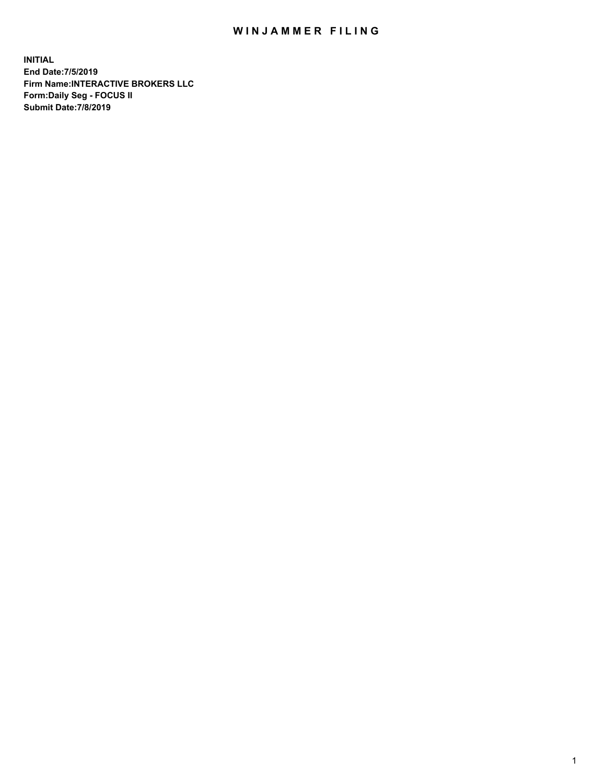## WIN JAMMER FILING

**INITIAL End Date:7/5/2019 Firm Name:INTERACTIVE BROKERS LLC Form:Daily Seg - FOCUS II Submit Date:7/8/2019**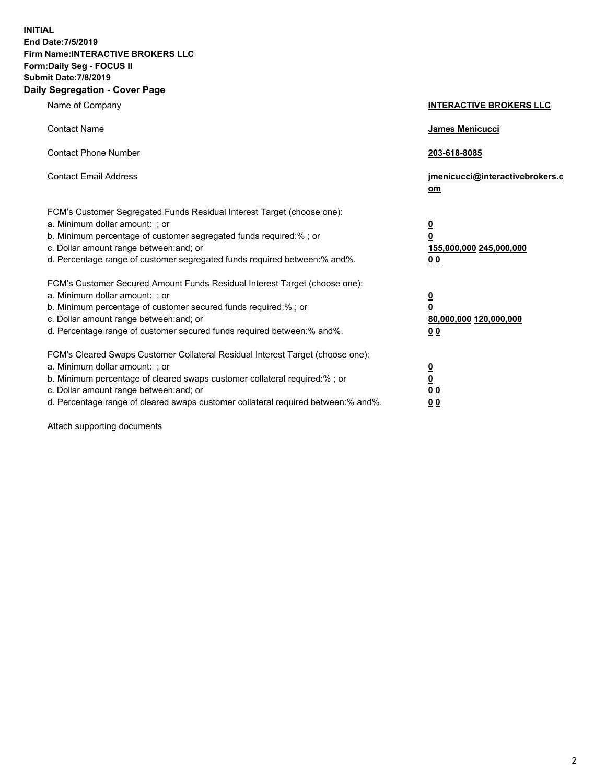**INITIAL End Date:7/5/2019 Firm Name:INTERACTIVE BROKERS LLC Form:Daily Seg - FOCUS II Submit Date:7/8/2019 Daily Segregation - Cover Page**

| Name of Company                                                                                                                                                                                                                                                                                                                | <b>INTERACTIVE BROKERS LLC</b>                                                                  |
|--------------------------------------------------------------------------------------------------------------------------------------------------------------------------------------------------------------------------------------------------------------------------------------------------------------------------------|-------------------------------------------------------------------------------------------------|
| <b>Contact Name</b>                                                                                                                                                                                                                                                                                                            | <b>James Menicucci</b>                                                                          |
| <b>Contact Phone Number</b>                                                                                                                                                                                                                                                                                                    | 203-618-8085                                                                                    |
| <b>Contact Email Address</b>                                                                                                                                                                                                                                                                                                   | jmenicucci@interactivebrokers.c<br>om                                                           |
| FCM's Customer Segregated Funds Residual Interest Target (choose one):<br>a. Minimum dollar amount: ; or<br>b. Minimum percentage of customer segregated funds required:% ; or<br>c. Dollar amount range between: and; or<br>d. Percentage range of customer segregated funds required between: % and %.                       | $\overline{\mathbf{0}}$<br>$\overline{\mathbf{0}}$<br>155,000,000 245,000,000<br>0 <sub>0</sub> |
| FCM's Customer Secured Amount Funds Residual Interest Target (choose one):<br>a. Minimum dollar amount: ; or<br>b. Minimum percentage of customer secured funds required:% ; or<br>c. Dollar amount range between: and; or<br>d. Percentage range of customer secured funds required between:% and%.                           | $\overline{\mathbf{0}}$<br>$\overline{\mathbf{0}}$<br>80,000,000 120,000,000<br>00              |
| FCM's Cleared Swaps Customer Collateral Residual Interest Target (choose one):<br>a. Minimum dollar amount: ; or<br>b. Minimum percentage of cleared swaps customer collateral required:% ; or<br>c. Dollar amount range between: and; or<br>d. Percentage range of cleared swaps customer collateral required between:% and%. | $\overline{\mathbf{0}}$<br>$\underline{\mathbf{0}}$<br>0 <sub>0</sub><br>0 <sub>0</sub>         |

Attach supporting documents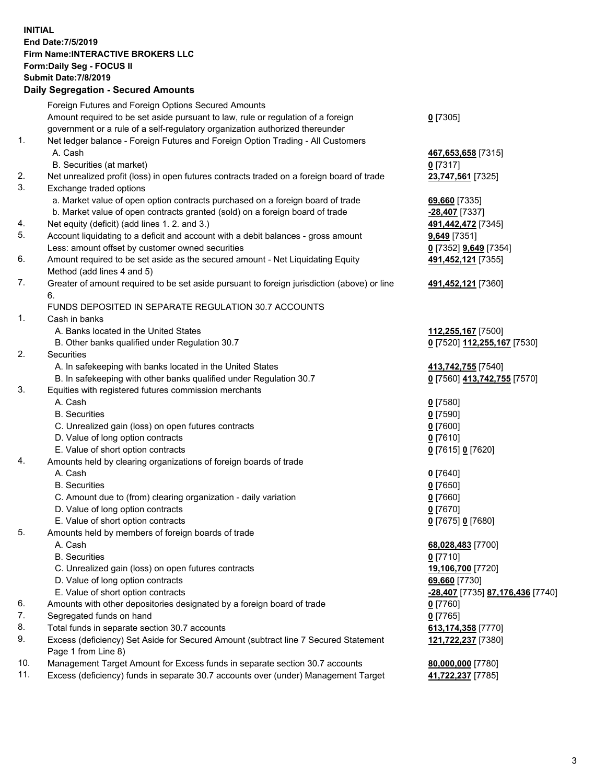## **INITIAL End Date:7/5/2019 Firm Name:INTERACTIVE BROKERS LLC Form:Daily Seg - FOCUS II Submit Date:7/8/2019 Daily Segregation - Secured Amounts**

|                | Dany Ocgregation - Occarea Anioants                                                         |                                  |
|----------------|---------------------------------------------------------------------------------------------|----------------------------------|
|                | Foreign Futures and Foreign Options Secured Amounts                                         |                                  |
|                | Amount required to be set aside pursuant to law, rule or regulation of a foreign            | $0$ [7305]                       |
|                | government or a rule of a self-regulatory organization authorized thereunder                |                                  |
| 1.             | Net ledger balance - Foreign Futures and Foreign Option Trading - All Customers             |                                  |
|                | A. Cash                                                                                     | 467,653,658 [7315]               |
|                | B. Securities (at market)                                                                   | $0$ [7317]                       |
| 2.             | Net unrealized profit (loss) in open futures contracts traded on a foreign board of trade   | 23,747,561 [7325]                |
| 3.             | Exchange traded options                                                                     |                                  |
|                | a. Market value of open option contracts purchased on a foreign board of trade              | 69,660 [7335]                    |
|                | b. Market value of open contracts granted (sold) on a foreign board of trade                | -28,407 [7337]                   |
| 4.             | Net equity (deficit) (add lines 1. 2. and 3.)                                               | 491,442,472 [7345]               |
| 5.             | Account liquidating to a deficit and account with a debit balances - gross amount           | <b>9,649</b> [7351]              |
|                | Less: amount offset by customer owned securities                                            | 0 [7352] 9,649 [7354]            |
| 6.             | Amount required to be set aside as the secured amount - Net Liquidating Equity              | 491,452,121 [7355]               |
|                | Method (add lines 4 and 5)                                                                  |                                  |
| 7.             | Greater of amount required to be set aside pursuant to foreign jurisdiction (above) or line | 491,452,121 [7360]               |
|                | 6.                                                                                          |                                  |
|                | FUNDS DEPOSITED IN SEPARATE REGULATION 30.7 ACCOUNTS                                        |                                  |
| $\mathbf{1}$ . | Cash in banks                                                                               |                                  |
|                | A. Banks located in the United States                                                       | 112,255,167 [7500]               |
|                | B. Other banks qualified under Regulation 30.7                                              | 0 [7520] 112,255,167 [7530]      |
| 2.             | Securities                                                                                  |                                  |
|                | A. In safekeeping with banks located in the United States                                   | 413,742,755 [7540]               |
|                | B. In safekeeping with other banks qualified under Regulation 30.7                          | 0 [7560] 413,742,755 [7570]      |
| 3.             | Equities with registered futures commission merchants                                       |                                  |
|                | A. Cash                                                                                     | $0$ [7580]                       |
|                | <b>B.</b> Securities                                                                        | $0$ [7590]                       |
|                | C. Unrealized gain (loss) on open futures contracts                                         | $0$ [7600]                       |
|                | D. Value of long option contracts                                                           | $0$ [7610]                       |
|                | E. Value of short option contracts                                                          | 0 [7615] 0 [7620]                |
| 4.             | Amounts held by clearing organizations of foreign boards of trade                           |                                  |
|                | A. Cash                                                                                     | $0$ [7640]                       |
|                | <b>B.</b> Securities                                                                        | $0$ [7650]                       |
|                | C. Amount due to (from) clearing organization - daily variation                             | $0$ [7660]                       |
|                | D. Value of long option contracts                                                           | $0$ [7670]                       |
|                | E. Value of short option contracts                                                          | 0 [7675] 0 [7680]                |
| 5.             | Amounts held by members of foreign boards of trade                                          |                                  |
|                | A. Cash                                                                                     | 68,028,483 [7700]                |
|                | <b>B.</b> Securities                                                                        | $0$ [7710]                       |
|                | C. Unrealized gain (loss) on open futures contracts                                         | 19,106,700 [7720]                |
|                | D. Value of long option contracts                                                           | 69,660 [7730]                    |
|                | E. Value of short option contracts                                                          | -28,407 [7735] 87,176,436 [7740] |
| 6.             | Amounts with other depositories designated by a foreign board of trade                      | $0$ [7760]                       |
| 7.             | Segregated funds on hand                                                                    | $0$ [7765]                       |
| 8.             | Total funds in separate section 30.7 accounts                                               | 613,174,358 [7770]               |
| 9.             | Excess (deficiency) Set Aside for Secured Amount (subtract line 7 Secured Statement         | 121,722,237 [7380]               |
|                | Page 1 from Line 8)                                                                         |                                  |
| 10.<br>11.     | Management Target Amount for Excess funds in separate section 30.7 accounts                 | 80,000,000 [7780]                |
|                | Excess (deficiency) funds in separate 30.7 accounts over (under) Management Target          | 41,722,237 [7785]                |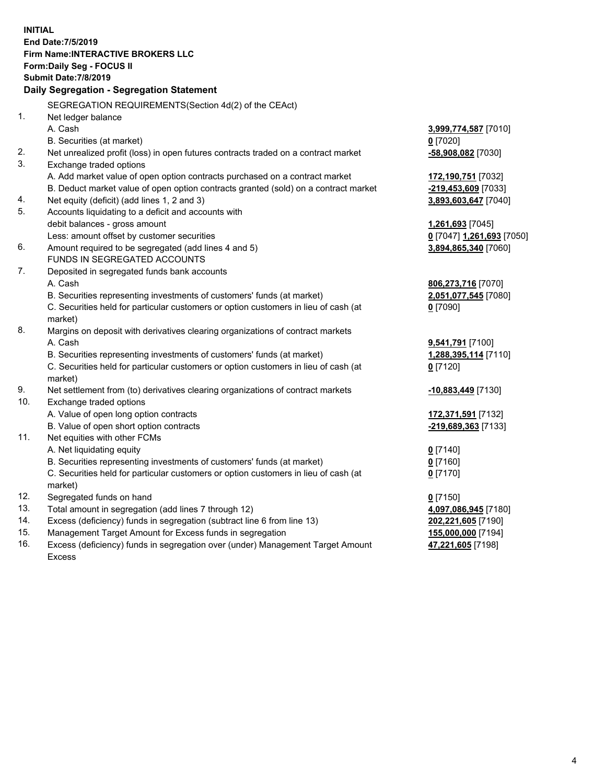**INITIAL End Date:7/5/2019 Firm Name:INTERACTIVE BROKERS LLC Form:Daily Seg - FOCUS II Submit Date:7/8/2019 Daily Segregation - Segregation Statement** SEGREGATION REQUIREMENTS(Section 4d(2) of the CEAct) 1. Net ledger balance A. Cash **3,999,774,587** [7010] B. Securities (at market) **0** [7020] 2. Net unrealized profit (loss) in open futures contracts traded on a contract market **-58,908,082** [7030] 3. Exchange traded options A. Add market value of open option contracts purchased on a contract market **172,190,751** [7032] B. Deduct market value of open option contracts granted (sold) on a contract market **-219,453,609** [7033] 4. Net equity (deficit) (add lines 1, 2 and 3) **3,893,603,647** [7040] 5. Accounts liquidating to a deficit and accounts with debit balances - gross amount **1,261,693** [7045] Less: amount offset by customer securities **0** [7047] **1,261,693** [7050] 6. Amount required to be segregated (add lines 4 and 5) **3,894,865,340** [7060] FUNDS IN SEGREGATED ACCOUNTS 7. Deposited in segregated funds bank accounts A. Cash **806,273,716** [7070] B. Securities representing investments of customers' funds (at market) **2,051,077,545** [7080] C. Securities held for particular customers or option customers in lieu of cash (at market) **0** [7090] 8. Margins on deposit with derivatives clearing organizations of contract markets A. Cash **9,541,791** [7100] B. Securities representing investments of customers' funds (at market) **1,288,395,114** [7110] C. Securities held for particular customers or option customers in lieu of cash (at market) **0** [7120] 9. Net settlement from (to) derivatives clearing organizations of contract markets **-10,883,449** [7130] 10. Exchange traded options A. Value of open long option contracts **172,371,591** [7132] B. Value of open short option contracts **-219,689,363** [7133] 11. Net equities with other FCMs A. Net liquidating equity **0** [7140] B. Securities representing investments of customers' funds (at market) **0** [7160] C. Securities held for particular customers or option customers in lieu of cash (at market) **0** [7170] 12. Segregated funds on hand **0** [7150] 13. Total amount in segregation (add lines 7 through 12) **4,097,086,945** [7180] 14. Excess (deficiency) funds in segregation (subtract line 6 from line 13) **202,221,605** [7190] 15. Management Target Amount for Excess funds in segregation **155,000,000** [7194] 16. Excess (deficiency) funds in segregation over (under) Management Target Amount **47,221,605** [7198]

Excess